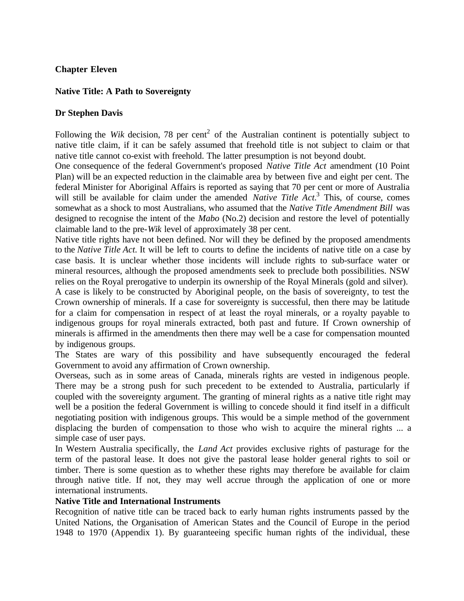## **Chapter Eleven**

### **Native Title: A Path to Sovereignty**

## **Dr Stephen Davis**

Following the *Wik* decision, 78 per cent<sup>2</sup> of the Australian continent is potentially subject to native title claim, if it can be safely assumed that freehold title is not subject to claim or that native title cannot co-exist with freehold. The latter presumption is not beyond doubt.

One consequence of the federal Government's proposed *Native Title Act* amendment (10 Point Plan) will be an expected reduction in the claimable area by between five and eight per cent. The federal Minister for Aboriginal Affairs is reported as saying that 70 per cent or more of Australia will still be available for claim under the amended *Native Title Act.*<sup>3</sup> This, of course, comes somewhat as a shock to most Australians, who assumed that the *Native Title Amendment Bill* was designed to recognise the intent of the *Mabo* (No.2) decision and restore the level of potentially claimable land to the pre-*Wik* level of approximately 38 per cent.

Native title rights have not been defined. Nor will they be defined by the proposed amendments to the *Native Title Act.* It will be left to courts to define the incidents of native title on a case by case basis. It is unclear whether those incidents will include rights to sub-surface water or mineral resources, although the proposed amendments seek to preclude both possibilities. NSW relies on the Royal prerogative to underpin its ownership of the Royal Minerals (gold and silver).

A case is likely to be constructed by Aboriginal people, on the basis of sovereignty, to test the Crown ownership of minerals. If a case for sovereignty is successful, then there may be latitude for a claim for compensation in respect of at least the royal minerals, or a royalty payable to indigenous groups for royal minerals extracted, both past and future. If Crown ownership of minerals is affirmed in the amendments then there may well be a case for compensation mounted by indigenous groups.

The States are wary of this possibility and have subsequently encouraged the federal Government to avoid any affirmation of Crown ownership.

Overseas, such as in some areas of Canada, minerals rights are vested in indigenous people. There may be a strong push for such precedent to be extended to Australia, particularly if coupled with the sovereignty argument. The granting of mineral rights as a native title right may well be a position the federal Government is willing to concede should it find itself in a difficult negotiating position with indigenous groups. This would be a simple method of the government displacing the burden of compensation to those who wish to acquire the mineral rights ... a simple case of user pays.

In Western Australia specifically, the *Land Act* provides exclusive rights of pasturage for the term of the pastoral lease. It does not give the pastoral lease holder general rights to soil or timber. There is some question as to whether these rights may therefore be available for claim through native title. If not, they may well accrue through the application of one or more international instruments.

## **Native Title and International Instruments**

Recognition of native title can be traced back to early human rights instruments passed by the United Nations, the Organisation of American States and the Council of Europe in the period 1948 to 1970 (Appendix 1). By guaranteeing specific human rights of the individual, these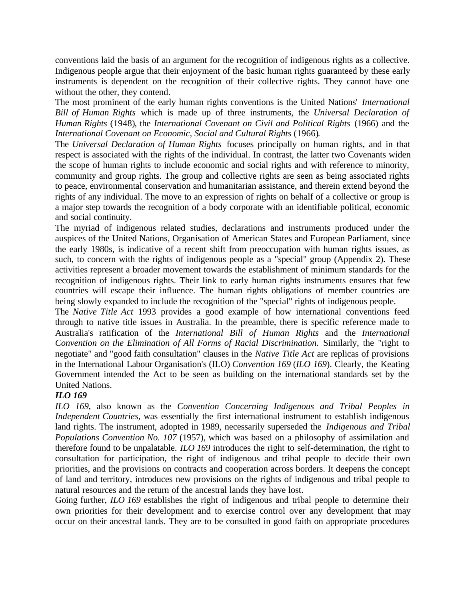conventions laid the basis of an argument for the recognition of indigenous rights as a collective. Indigenous people argue that their enjoyment of the basic human rights guaranteed by these early instruments is dependent on the recognition of their collective rights. They cannot have one without the other, they contend.

The most prominent of the early human rights conventions is the United Nations' *International Bill of Human Rights* which is made up of three instruments, the *Universal Declaration of Human Rights* (1948)*,* the *International Covenant on Civil and Political Rights* (1966) and the *International Covenant on Economic, Social and Cultural Rights* (1966)*.*

The *Universal Declaration of Human Rights* focuses principally on human rights, and in that respect is associated with the rights of the individual. In contrast, the latter two Covenants widen the scope of human rights to include economic and social rights and with reference to minority, community and group rights. The group and collective rights are seen as being associated rights to peace, environmental conservation and humanitarian assistance, and therein extend beyond the rights of any individual. The move to an expression of rights on behalf of a collective or group is a major step towards the recognition of a body corporate with an identifiable political, economic and social continuity.

The myriad of indigenous related studies, declarations and instruments produced under the auspices of the United Nations, Organisation of American States and European Parliament, since the early 1980s, is indicative of a recent shift from preoccupation with human rights issues, as such, to concern with the rights of indigenous people as a "special" group (Appendix 2). These activities represent a broader movement towards the establishment of minimum standards for the recognition of indigenous rights. Their link to early human rights instruments ensures that few countries will escape their influence. The human rights obligations of member countries are being slowly expanded to include the recognition of the "special" rights of indigenous people.

The *Native Title Act* 1993 provides a good example of how international conventions feed through to native title issues in Australia. In the preamble, there is specific reference made to Australia's ratification of the *International Bill of Human Rights* and the *International Convention on the Elimination of All Forms of Racial Discrimination.* Similarly, the "right to negotiate" and "good faith consultation" clauses in the *Native Title Act* are replicas of provisions in the International Labour Organisation's (ILO) *Convention 169* (*ILO 169*). Clearly, the Keating Government intended the Act to be seen as building on the international standards set by the United Nations.

## *ILO 169*

*ILO 169,* also known as the *Convention Concerning Indigenous and Tribal Peoples in Independent Countries,* was essentially the first international instrument to establish indigenous land rights. The instrument, adopted in 1989, necessarily superseded the *Indigenous and Tribal Populations Convention No. 107* (1957)*,* which was based on a philosophy of assimilation and therefore found to be unpalatable. *ILO 169* introduces the right to self-determination, the right to consultation for participation, the right of indigenous and tribal people to decide their own priorities, and the provisions on contracts and cooperation across borders. It deepens the concept of land and territory, introduces new provisions on the rights of indigenous and tribal people to natural resources and the return of the ancestral lands they have lost.

Going further, *ILO 169* establishes the right of indigenous and tribal people to determine their own priorities for their development and to exercise control over any development that may occur on their ancestral lands. They are to be consulted in good faith on appropriate procedures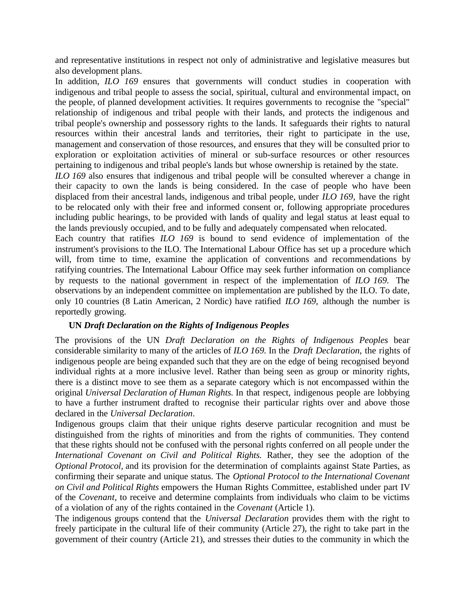and representative institutions in respect not only of administrative and legislative measures but also development plans.

In addition, *ILO 169* ensures that governments will conduct studies in cooperation with indigenous and tribal people to assess the social, spiritual, cultural and environmental impact, on the people, of planned development activities. It requires governments to recognise the "special" relationship of indigenous and tribal people with their lands, and protects the indigenous and tribal people's ownership and possessory rights to the lands. It safeguards their rights to natural resources within their ancestral lands and territories, their right to participate in the use, management and conservation of those resources, and ensures that they will be consulted prior to exploration or exploitation activities of mineral or sub-surface resources or other resources pertaining to indigenous and tribal people's lands but whose ownership is retained by the state.

*ILO 169* also ensures that indigenous and tribal people will be consulted wherever a change in their capacity to own the lands is being considered. In the case of people who have been displaced from their ancestral lands, indigenous and tribal people, under *ILO 169,* have the right to be relocated only with their free and informed consent or, following appropriate procedures including public hearings, to be provided with lands of quality and legal status at least equal to the lands previously occupied, and to be fully and adequately compensated when relocated.

Each country that ratifies *ILO 169* is bound to send evidence of implementation of the instrument's provisions to the ILO. The International Labour Office has set up a procedure which will, from time to time, examine the application of conventions and recommendations by ratifying countries. The International Labour Office may seek further information on compliance by requests to the national government in respect of the implementation of *ILO 169.* The observations by an independent committee on implementation are published by the ILO. To date, only 10 countries (8 Latin American, 2 Nordic) have ratified *ILO 169,* although the number is reportedly growing.

#### **UN** *Draft Declaration on the Rights of Indigenous Peoples*

The provisions of the UN *Draft Declaration on the Rights of Indigenous Peoples* bear considerable similarity to many of the articles of *ILO 169.* In the *Draft Declaration*, the rights of indigenous people are being expanded such that they are on the edge of being recognised beyond individual rights at a more inclusive level. Rather than being seen as group or minority rights, there is a distinct move to see them as a separate category which is not encompassed within the original *Universal Declaration of Human Rights.* In that respect, indigenous people are lobbying to have a further instrument drafted to recognise their particular rights over and above those declared in the *Universal Declaration*.

Indigenous groups claim that their unique rights deserve particular recognition and must be distinguished from the rights of minorities and from the rights of communities. They contend that these rights should not be confused with the personal rights conferred on all people under the *International Covenant on Civil and Political Rights.* Rather, they see the adoption of the *Optional Protocol,* and its provision for the determination of complaints against State Parties, as confirming their separate and unique status. The *Optional Protocol to the International Covenant on Civil and Political Rights* empowers the Human Rights Committee, established under part IV of the *Covenant,* to receive and determine complaints from individuals who claim to be victims of a violation of any of the rights contained in the *Covenant* (Article 1).

The indigenous groups contend that the *Universal Declaration* provides them with the right to freely participate in the cultural life of their community (Article 27), the right to take part in the government of their country (Article 21), and stresses their duties to the community in which the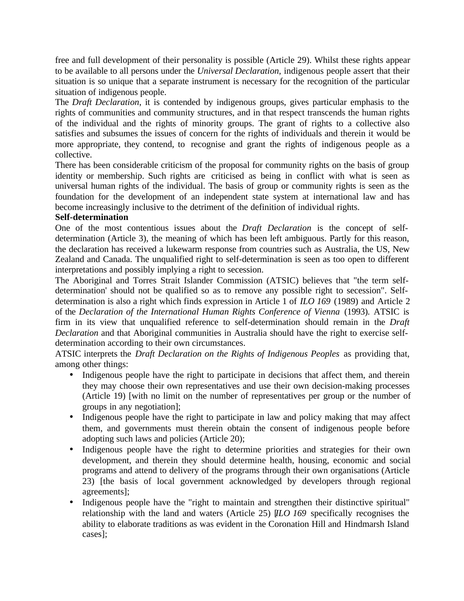free and full development of their personality is possible (Article 29). Whilst these rights appear to be available to all persons under the *Universal Declaration*, indigenous people assert that their situation is so unique that a separate instrument is necessary for the recognition of the particular situation of indigenous people.

The *Draft Declaration*, it is contended by indigenous groups, gives particular emphasis to the rights of communities and community structures, and in that respect transcends the human rights of the individual and the rights of minority groups. The grant of rights to a collective also satisfies and subsumes the issues of concern for the rights of individuals and therein it would be more appropriate, they contend, to recognise and grant the rights of indigenous people as a collective.

There has been considerable criticism of the proposal for community rights on the basis of group identity or membership. Such rights are criticised as being in conflict with what is seen as universal human rights of the individual. The basis of group or community rights is seen as the foundation for the development of an independent state system at international law and has become increasingly inclusive to the detriment of the definition of individual rights.

## **Self-determination**

One of the most contentious issues about the *Draft Declaration* is the concept of selfdetermination (Article 3), the meaning of which has been left ambiguous. Partly for this reason, the declaration has received a lukewarm response from countries such as Australia, the US, New Zealand and Canada. The unqualified right to self-determination is seen as too open to different interpretations and possibly implying a right to secession.

The Aboriginal and Torres Strait Islander Commission (ATSIC) believes that "the term selfdetermination' should not be qualified so as to remove any possible right to secession". Selfdetermination is also a right which finds expression in Article 1 of *ILO 169* (1989) and Article 2 of the *Declaration of the International Human Rights Conference of Vienna* (1993). ATSIC is firm in its view that unqualified reference to self-determination should remain in the *Draft Declaration* and that Aboriginal communities in Australia should have the right to exercise selfdetermination according to their own circumstances.

ATSIC interprets the *Draft Declaration on the Rights of Indigenous Peoples* as providing that, among other things:

- Indigenous people have the right to participate in decisions that affect them, and therein they may choose their own representatives and use their own decision-making processes (Article 19) [with no limit on the number of representatives per group or the number of groups in any negotiation];
- Indigenous people have the right to participate in law and policy making that may affect them, and governments must therein obtain the consent of indigenous people before adopting such laws and policies (Article 20);
- Indigenous people have the right to determine priorities and strategies for their own development, and therein they should determine health, housing, economic and social programs and attend to delivery of the programs through their own organisations (Article 23) [the basis of local government acknowledged by developers through regional agreements];
- Indigenous people have the "right to maintain and strengthen their distinctive spiritual" relationship with the land and waters (Article 25) [*ILO 169* specifically recognises the ability to elaborate traditions as was evident in the Coronation Hill and Hindmarsh Island cases];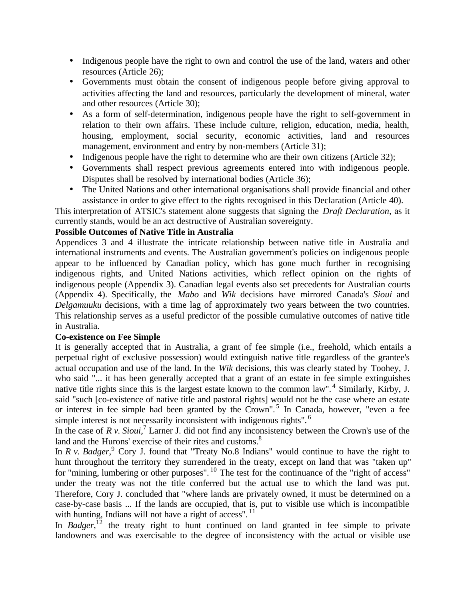- Indigenous people have the right to own and control the use of the land, waters and other resources (Article 26);
- Governments must obtain the consent of indigenous people before giving approval to activities affecting the land and resources, particularly the development of mineral, water and other resources (Article 30);
- As a form of self-determination, indigenous people have the right to self-government in relation to their own affairs. These include culture, religion, education, media, health, housing, employment, social security, economic activities, land and resources management, environment and entry by non-members (Article 31);
- Indigenous people have the right to determine who are their own citizens (Article 32);
- Governments shall respect previous agreements entered into with indigenous people. Disputes shall be resolved by international bodies (Article 36);
- The United Nations and other international organisations shall provide financial and other assistance in order to give effect to the rights recognised in this Declaration (Article 40).

This interpretation of ATSIC's statement alone suggests that signing the *Draft Declaration*, as it currently stands, would be an act destructive of Australian sovereignty.

## **Possible Outcomes of Native Title in Australia**

Appendices 3 and 4 illustrate the intricate relationship between native title in Australia and international instruments and events. The Australian government's policies on indigenous people appear to be influenced by Canadian policy, which has gone much further in recognising indigenous rights, and United Nations activities, which reflect opinion on the rights of indigenous people (Appendix 3). Canadian legal events also set precedents for Australian courts (Appendix 4). Specifically, the *Mabo* and *Wik* decisions have mirrored Canada's *Sioui* and *Delgamuuku* decisions, with a time lag of approximately two years between the two countries. This relationship serves as a useful predictor of the possible cumulative outcomes of native title in Australia.

## **Co-existence on Fee Simple**

It is generally accepted that in Australia, a grant of fee simple (i.e., freehold, which entails a perpetual right of exclusive possession) would extinguish native title regardless of the grantee's actual occupation and use of the land. In the *Wik* decisions, this was clearly stated by Toohey, J. who said "... it has been generally accepted that a grant of an estate in fee simple extinguishes native title rights since this is the largest estate known to the common law".<sup>4</sup> Similarly, Kirby, J. said "such [co-existence of native title and pastoral rights] would not be the case where an estate or interest in fee simple had been granted by the Crown".<sup>5</sup> In Canada, however, "even a fee simple interest is not necessarily inconsistent with indigenous rights".<sup>6</sup>

In the case of  $R v$ . Sioui,<sup>7</sup> Larner J. did not find any inconsistency between the Crown's use of the land and the Hurons' exercise of their rites and customs.<sup>8</sup>

In *R v. Badger*,<sup>9</sup> Cory J. found that "Treaty No.8 Indians" would continue to have the right to hunt throughout the territory they surrendered in the treaty, except on land that was "taken up" for "mining, lumbering or other purposes".  $^{10}$  The test for the continuance of the "right of access" under the treaty was not the title conferred but the actual use to which the land was put. Therefore, Cory J. concluded that "where lands are privately owned, it must be determined on a case-by-case basis ... If the lands are occupied, that is, put to visible use which is incompatible with hunting, Indians will not have a right of access".<sup>11</sup>

In *Badger*,<sup>12</sup> the treaty right to hunt continued on land granted in fee simple to private landowners and was exercisable to the degree of inconsistency with the actual or visible use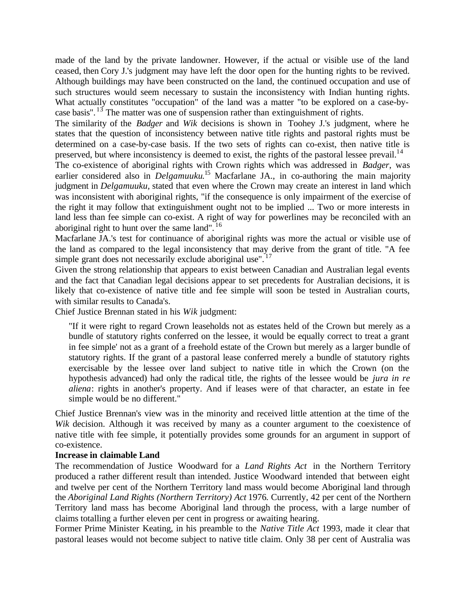made of the land by the private landowner. However, if the actual or visible use of the land ceased, then Cory J.'s judgment may have left the door open for the hunting rights to be revived. Although buildings may have been constructed on the land, the continued occupation and use of such structures would seem necessary to sustain the inconsistency with Indian hunting rights. What actually constitutes "occupation" of the land was a matter "to be explored on a case-bycase basis".<sup>13</sup> The matter was one of suspension rather than extinguishment of rights.

The similarity of the *Badger* and *Wik* decisions is shown in Toohey J.'s judgment, where he states that the question of inconsistency between native title rights and pastoral rights must be determined on a case-by-case basis. If the two sets of rights can co-exist, then native title is preserved, but where inconsistency is deemed to exist, the rights of the pastoral lessee prevail.<sup>14</sup>

The co-existence of aboriginal rights with Crown rights which was addressed in *Badger*, was earlier considered also in *Delgamuuku*.<sup>15</sup> Macfarlane JA., in co-authoring the main majority judgment in *Delgamuuku,* stated that even where the Crown may create an interest in land which was inconsistent with aboriginal rights, "if the consequence is only impairment of the exercise of the right it may follow that extinguishment ought not to be implied ... Two or more interests in land less than fee simple can co-exist. A right of way for powerlines may be reconciled with an aboriginal right to hunt over the same land".<sup>16</sup>

Macfarlane JA.'s test for continuance of aboriginal rights was more the actual or visible use of the land as compared to the legal inconsistency that may derive from the grant of title. "A fee simple grant does not necessarily exclude aboriginal use".<sup>17</sup>

Given the strong relationship that appears to exist between Canadian and Australian legal events and the fact that Canadian legal decisions appear to set precedents for Australian decisions, it is likely that co-existence of native title and fee simple will soon be tested in Australian courts, with similar results to Canada's.

Chief Justice Brennan stated in his *Wik* judgment:

"If it were right to regard Crown leaseholds not as estates held of the Crown but merely as a bundle of statutory rights conferred on the lessee, it would be equally correct to treat a grant in fee simple' not as a grant of a freehold estate of the Crown but merely as a larger bundle of statutory rights. If the grant of a pastoral lease conferred merely a bundle of statutory rights exercisable by the lessee over land subject to native title in which the Crown (on the hypothesis advanced) had only the radical title, the rights of the lessee would be *jura in re aliena*: rights in another's property. And if leases were of that character, an estate in fee simple would be no different."

Chief Justice Brennan's view was in the minority and received little attention at the time of the *Wik* decision. Although it was received by many as a counter argument to the coexistence of native title with fee simple, it potentially provides some grounds for an argument in support of co-existence.

#### **Increase in claimable Land**

The recommendation of Justice Woodward for a *Land Rights Act* in the Northern Territory produced a rather different result than intended. Justice Woodward intended that between eight and twelve per cent of the Northern Territory land mass would become Aboriginal land through the *Aboriginal Land Rights (Northern Territory) Act* 1976*.* Currently, 42 per cent of the Northern Territory land mass has become Aboriginal land through the process, with a large number of claims totalling a further eleven per cent in progress or awaiting hearing.

Former Prime Minister Keating, in his preamble to the *Native Title Act* 1993*,* made it clear that pastoral leases would not become subject to native title claim. Only 38 per cent of Australia was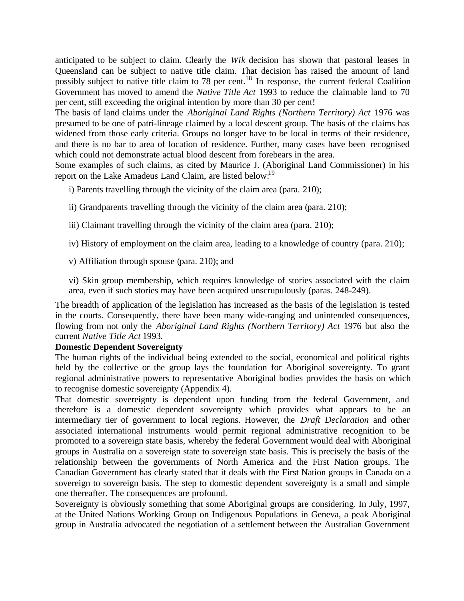anticipated to be subject to claim. Clearly the *Wik* decision has shown that pastoral leases in Queensland can be subject to native title claim. That decision has raised the amount of land possibly subject to native title claim to 78 per cent.<sup>18</sup> In response, the current federal Coalition Government has moved to amend the *Native Title Act* 1993 to reduce the claimable land to 70 per cent, still exceeding the original intention by more than 30 per cent!

The basis of land claims under the *Aboriginal Land Rights (Northern Territory) Act* 1976 was presumed to be one of patri-lineage claimed by a local descent group. The basis of the claims has widened from those early criteria. Groups no longer have to be local in terms of their residence, and there is no bar to area of location of residence. Further, many cases have been recognised which could not demonstrate actual blood descent from forebears in the area.

Some examples of such claims, as cited by Maurice J. (Aboriginal Land Commissioner) in his report on the Lake Amadeus Land Claim, are listed below:<sup>19</sup>

i) Parents travelling through the vicinity of the claim area (para. 210);

- ii) Grandparents travelling through the vicinity of the claim area (para. 210);
- iii) Claimant travelling through the vicinity of the claim area (para. 210);
- iv) History of employment on the claim area, leading to a knowledge of country (para. 210);

v) Affiliation through spouse (para. 210); and

vi) Skin group membership, which requires knowledge of stories associated with the claim area, even if such stories may have been acquired unscrupulously (paras. 248-249).

The breadth of application of the legislation has increased as the basis of the legislation is tested in the courts. Consequently, there have been many wide-ranging and unintended consequences, flowing from not only the *Aboriginal Land Rights (Northern Territory) Act* 1976 but also the current *Native Title Act* 1993*.*

## **Domestic Dependent Sovereignty**

The human rights of the individual being extended to the social, economical and political rights held by the collective or the group lays the foundation for Aboriginal sovereignty. To grant regional administrative powers to representative Aboriginal bodies provides the basis on which to recognise domestic sovereignty (Appendix 4).

That domestic sovereignty is dependent upon funding from the federal Government, and therefore is a domestic dependent sovereignty which provides what appears to be an intermediary tier of government to local regions. However, the *Draft Declaration* and other associated international instruments would permit regional administrative recognition to be promoted to a sovereign state basis, whereby the federal Government would deal with Aboriginal groups in Australia on a sovereign state to sovereign state basis. This is precisely the basis of the relationship between the governments of North America and the First Nation groups. The Canadian Government has clearly stated that it deals with the First Nation groups in Canada on a sovereign to sovereign basis. The step to domestic dependent sovereignty is a small and simple one thereafter. The consequences are profound.

Sovereignty is obviously something that some Aboriginal groups are considering. In July, 1997, at the United Nations Working Group on Indigenous Populations in Geneva, a peak Aboriginal group in Australia advocated the negotiation of a settlement between the Australian Government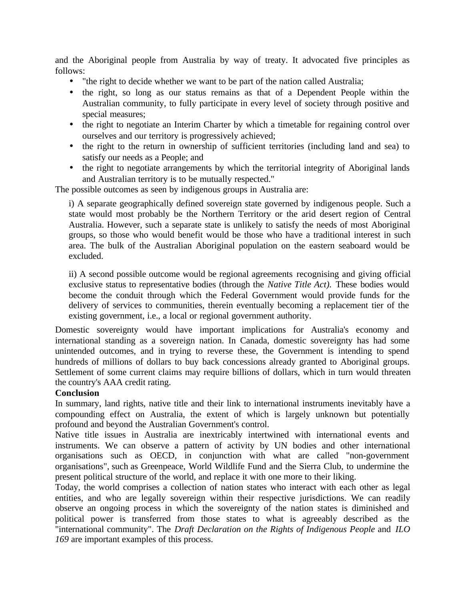and the Aboriginal people from Australia by way of treaty. It advocated five principles as follows:

- "the right to decide whether we want to be part of the nation called Australia;
- the right, so long as our status remains as that of a Dependent People within the Australian community, to fully participate in every level of society through positive and special measures;
- the right to negotiate an Interim Charter by which a timetable for regaining control over ourselves and our territory is progressively achieved;
- the right to the return in ownership of sufficient territories (including land and sea) to satisfy our needs as a People; and
- the right to negotiate arrangements by which the territorial integrity of Aboriginal lands and Australian territory is to be mutually respected."

The possible outcomes as seen by indigenous groups in Australia are:

i) A separate geographically defined sovereign state governed by indigenous people. Such a state would most probably be the Northern Territory or the arid desert region of Central Australia. However, such a separate state is unlikely to satisfy the needs of most Aboriginal groups, so those who would benefit would be those who have a traditional interest in such area. The bulk of the Australian Aboriginal population on the eastern seaboard would be excluded.

ii) A second possible outcome would be regional agreements recognising and giving official exclusive status to representative bodies (through the *Native Title Act).* These bodies would become the conduit through which the Federal Government would provide funds for the delivery of services to communities, therein eventually becoming a replacement tier of the existing government, i.e., a local or regional government authority.

Domestic sovereignty would have important implications for Australia's economy and international standing as a sovereign nation. In Canada, domestic sovereignty has had some unintended outcomes, and in trying to reverse these, the Government is intending to spend hundreds of millions of dollars to buy back concessions already granted to Aboriginal groups. Settlement of some current claims may require billions of dollars, which in turn would threaten the country's AAA credit rating.

#### **Conclusion**

In summary, land rights, native title and their link to international instruments inevitably have a compounding effect on Australia, the extent of which is largely unknown but potentially profound and beyond the Australian Government's control.

Native title issues in Australia are inextricably intertwined with international events and instruments. We can observe a pattern of activity by UN bodies and other international organisations such as OECD, in conjunction with what are called "non-government organisations", such as Greenpeace, World Wildlife Fund and the Sierra Club, to undermine the present political structure of the world, and replace it with one more to their liking.

Today, the world comprises a collection of nation states who interact with each other as legal entities, and who are legally sovereign within their respective jurisdictions. We can readily observe an ongoing process in which the sovereignty of the nation states is diminished and political power is transferred from those states to what is agreeably described as the "international community". The *Draft Declaration on the Rights of Indigenous People* and *ILO 169* are important examples of this process.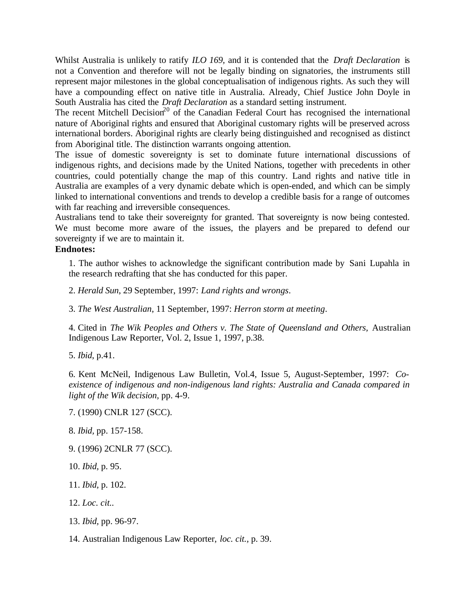Whilst Australia is unlikely to ratify *ILO 169,* and it is contended that the *Draft Declaration* is not a Convention and therefore will not be legally binding on signatories, the instruments still represent major milestones in the global conceptualisation of indigenous rights. As such they will have a compounding effect on native title in Australia. Already, Chief Justice John Doyle in South Australia has cited the *Draft Declaration* as a standard setting instrument.

The recent Mitchell Decision<sup>20</sup> of the Canadian Federal Court has recognised the international nature of Aboriginal rights and ensured that Aboriginal customary rights will be preserved across international borders. Aboriginal rights are clearly being distinguished and recognised as distinct from Aboriginal title. The distinction warrants ongoing attention.

The issue of domestic sovereignty is set to dominate future international discussions of indigenous rights, and decisions made by the United Nations, together with precedents in other countries, could potentially change the map of this country. Land rights and native title in Australia are examples of a very dynamic debate which is open-ended, and which can be simply linked to international conventions and trends to develop a credible basis for a range of outcomes with far reaching and irreversible consequences.

Australians tend to take their sovereignty for granted. That sovereignty is now being contested. We must become more aware of the issues, the players and be prepared to defend our sovereignty if we are to maintain it.

## **Endnotes:**

1. The author wishes to acknowledge the significant contribution made by Sani Lupahla in the research redrafting that she has conducted for this paper.

2. *Herald Sun*, 29 September, 1997: *Land rights and wrongs*.

3. *The West Australian*, 11 September, 1997: *Herron storm at meeting*.

4. Cited in *The Wik Peoples and Others v. The State of Queensland and Others,* Australian Indigenous Law Reporter, Vol. 2, Issue 1, 1997, p.38.

5. *Ibid*, p.41.

6. Kent McNeil, Indigenous Law Bulletin, Vol.4, Issue 5, August-September, 1997: *Coexistence of indigenous and non-indigenous land rights: Australia and Canada compared in light of the Wik decision,* pp. 4-9.

7. (1990) CNLR 127 (SCC).

8. *Ibid,* pp. 157-158.

- 9. (1996) 2CNLR 77 (SCC).
- 10. *Ibid,* p. 95.
- 11. *Ibid,* p. 102.
- 12. *Loc. cit..*
- 13. *Ibid,* pp. 96-97.

14. Australian Indigenous Law Reporter, *loc. cit.,* p. 39.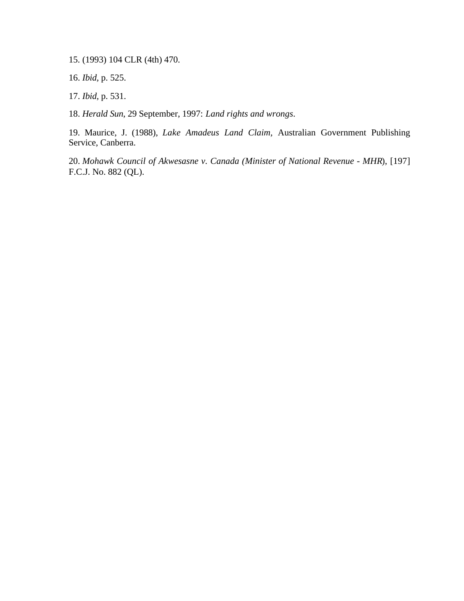15. (1993) 104 CLR (4th) 470.

16. *Ibid,* p. 525.

17. *Ibid,* p. 531.

18. *Herald Sun*, 29 September, 1997: *Land rights and wrongs*.

19. Maurice, J. (1988), *Lake Amadeus Land Claim,* Australian Government Publishing Service, Canberra.

20. *Mohawk Council of Akwesasne v. Canada (Minister of National Revenue - MHR*), [197] F.C.J. No. 882 (QL).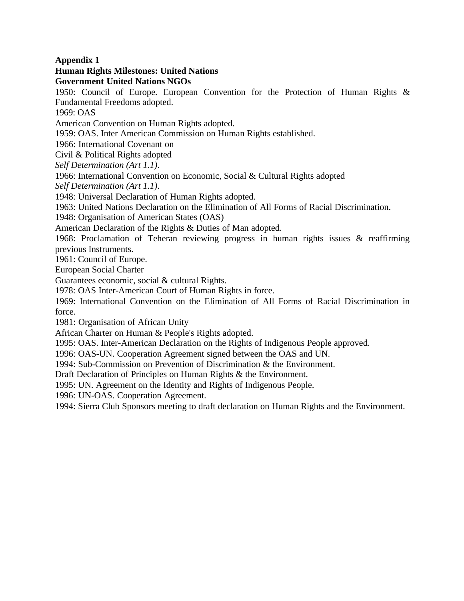## **Appendix 1**

# **Human Rights Milestones: United Nations**

**Government United Nations NGOs**

1950: Council of Europe. European Convention for the Protection of Human Rights & Fundamental Freedoms adopted.

1969: OAS

American Convention on Human Rights adopted.

1959: OAS. Inter American Commission on Human Rights established.

1966: International Covenant on

Civil & Political Rights adopted

*Self Determination (Art 1.1)*.

1966: International Convention on Economic, Social & Cultural Rights adopted

*Self Determination (Art 1.1)*.

1948: Universal Declaration of Human Rights adopted.

1963: United Nations Declaration on the Elimination of All Forms of Racial Discrimination.

1948: Organisation of American States (OAS)

American Declaration of the Rights & Duties of Man adopted.

1968: Proclamation of Teheran reviewing progress in human rights issues & reaffirming previous Instruments.

1961: Council of Europe.

European Social Charter

Guarantees economic, social & cultural Rights.

1978: OAS Inter-American Court of Human Rights in force.

1969: International Convention on the Elimination of All Forms of Racial Discrimination in force.

1981: Organisation of African Unity

African Charter on Human & People's Rights adopted.

1995: OAS. Inter-American Declaration on the Rights of Indigenous People approved.

1996: OAS-UN. Cooperation Agreement signed between the OAS and UN.

1994: Sub-Commission on Prevention of Discrimination & the Environment.

Draft Declaration of Principles on Human Rights & the Environment.

1995: UN. Agreement on the Identity and Rights of Indigenous People.

1996: UN-OAS. Cooperation Agreement.

1994: Sierra Club Sponsors meeting to draft declaration on Human Rights and the Environment.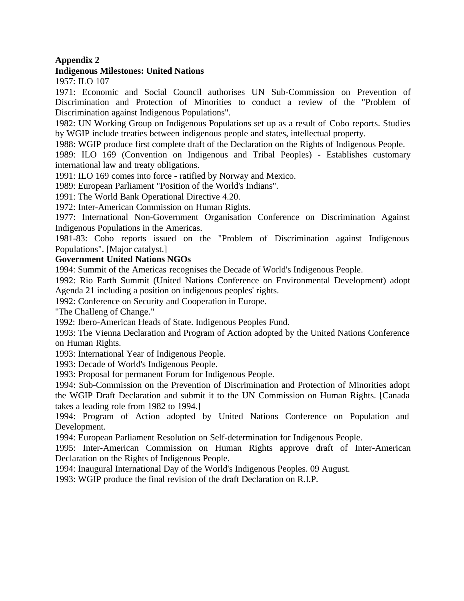## **Appendix 2**

#### **Indigenous Milestones: United Nations**

1957: ILO 107

1971: Economic and Social Council authorises UN Sub-Commission on Prevention of Discrimination and Protection of Minorities to conduct a review of the "Problem of Discrimination against Indigenous Populations".

1982: UN Working Group on Indigenous Populations set up as a result of Cobo reports. Studies by WGIP include treaties between indigenous people and states, intellectual property.

1988: WGIP produce first complete draft of the Declaration on the Rights of Indigenous People.

1989: ILO 169 (Convention on Indigenous and Tribal Peoples) - Establishes customary international law and treaty obligations.

1991: ILO 169 comes into force - ratified by Norway and Mexico.

1989: European Parliament "Position of the World's Indians".

1991: The World Bank Operational Directive 4.20.

1972: Inter-American Commission on Human Rights.

1977: International Non-Government Organisation Conference on Discrimination Against Indigenous Populations in the Americas.

1981-83: Cobo reports issued on the "Problem of Discrimination against Indigenous Populations". [Major catalyst.]

#### **Government United Nations NGOs**

1994: Summit of the Americas recognises the Decade of World's Indigenous People.

1992: Rio Earth Summit (United Nations Conference on Environmental Development) adopt Agenda 21 including a position on indigenous peoples' rights.

1992: Conference on Security and Cooperation in Europe.

"The Challeng of Change."

1992: Ibero-American Heads of State. Indigenous Peoples Fund.

1993: The Vienna Declaration and Program of Action adopted by the United Nations Conference on Human Rights.

1993: International Year of Indigenous People.

1993: Decade of World's Indigenous People.

1993: Proposal for permanent Forum for Indigenous People.

1994: Sub-Commission on the Prevention of Discrimination and Protection of Minorities adopt the WGIP Draft Declaration and submit it to the UN Commission on Human Rights. [Canada takes a leading role from 1982 to 1994.]

1994: Program of Action adopted by United Nations Conference on Population and Development.

1994: European Parliament Resolution on Self-determination for Indigenous People.

1995: Inter-American Commission on Human Rights approve draft of Inter-American Declaration on the Rights of Indigenous People.

1994: Inaugural International Day of the World's Indigenous Peoples. 09 August.

1993: WGIP produce the final revision of the draft Declaration on R.I.P.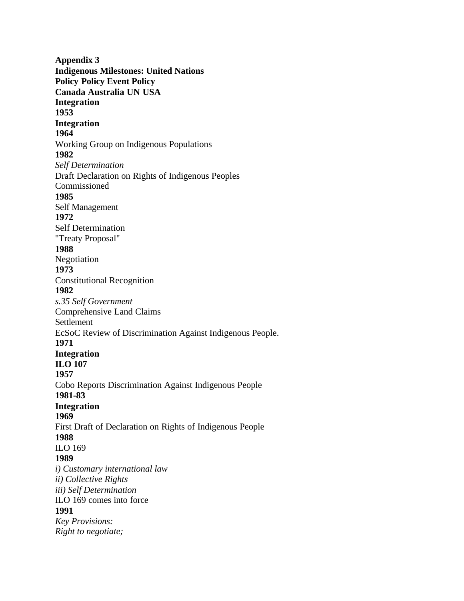**Appendix 3 Indigenous Milestones: United Nations Policy Policy Event Policy Canada Australia UN USA Integration 1953 Integration 1964** Working Group on Indigenous Populations **1982** *Self Determination* Draft Declaration on Rights of Indigenous Peoples Commissioned **1985** Self Management **1972** Self Determination "Treaty Proposal" **1988** Negotiation **1973** Constitutional Recognition **1982** *s.35 Self Government* Comprehensive Land Claims Settlement EcSoC Review of Discrimination Against Indigenous People. **1971 Integration ILO 107 1957** Cobo Reports Discrimination Against Indigenous People **1981-83 Integration 1969** First Draft of Declaration on Rights of Indigenous People **1988** ILO 169 **1989** *i) Customary international law ii) Collective Rights iii) Self Determination* ILO 169 comes into force **1991** *Key Provisions: Right to negotiate;*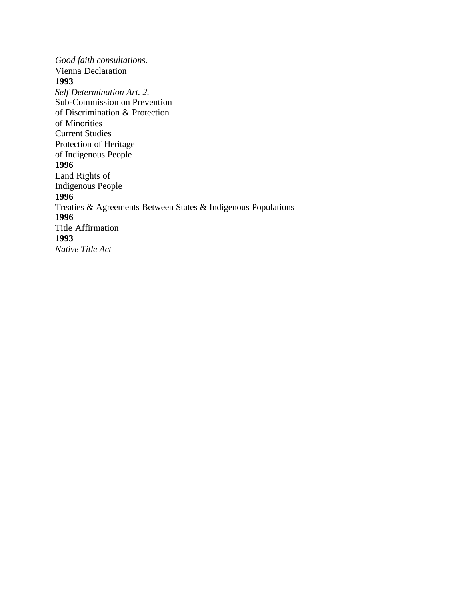*Good faith consultations.* Vienna Declaration **1993** *Self Determination Art. 2.* Sub-Commission on Prevention of Discrimination & Protection of Minorities Current Studies Protection of Heritage of Indigenous People **1996** Land Rights of Indigenous People **1996** Treaties & Agreements Between States & Indigenous Populations **1996** Title Affirmation **1993** *Native Title Act*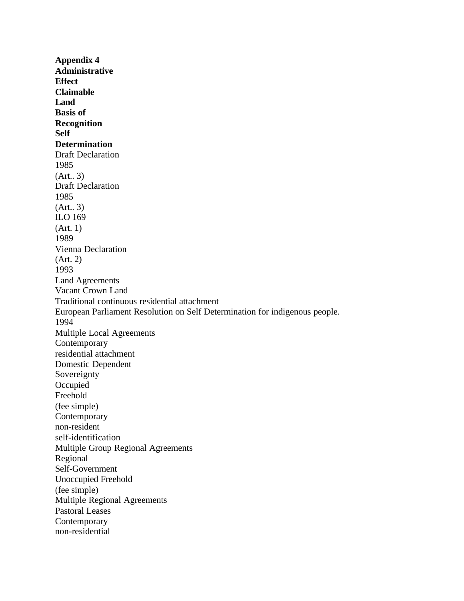**Appendix 4 Administrative Effect Claimable Land Basis of Recognition Self Determination** Draft Declaration 1985 (Art.. 3) Draft Declaration 1985 (Art.. 3) ILO 169 (Art. 1) 1989 Vienna Declaration (Art. 2) 1993 Land Agreements Vacant Crown Land Traditional continuous residential attachment European Parliament Resolution on Self Determination for indigenous people. 1994 Multiple Local Agreements **Contemporary** residential attachment Domestic Dependent Sovereignty **Occupied** Freehold (fee simple) Contemporary non-resident self-identification Multiple Group Regional Agreements Regional Self-Government Unoccupied Freehold (fee simple) Multiple Regional Agreements Pastoral Leases Contemporary non-residential